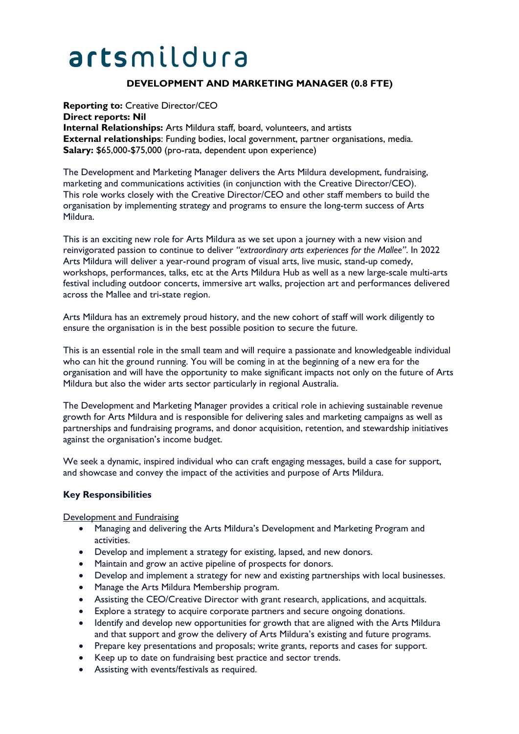# artsmildura

# **DEVELOPMENT AND MARKETING MANAGER (0.8 FTE)**

**Reporting to:** Creative Director/CEO **Direct reports: Nil Internal Relationships:** Arts Mildura staff, board, volunteers, and artists **External relationships**: Funding bodies, local government, partner organisations, media. **Salary:** \$65,000-\$75,000 (pro-rata, dependent upon experience)

The Development and Marketing Manager delivers the Arts Mildura development, fundraising, marketing and communications activities (in conjunction with the Creative Director/CEO). This role works closely with the Creative Director/CEO and other staff members to build the organisation by implementing strategy and programs to ensure the long-term success of Arts Mildura.

This is an exciting new role for Arts Mildura as we set upon a journey with a new vision and reinvigorated passion to continue to deliver *"extraordinary arts experiences for the Mallee"*. In 2022 Arts Mildura will deliver a year-round program of visual arts, live music, stand-up comedy, workshops, performances, talks, etc at the Arts Mildura Hub as well as a new large-scale multi-arts festival including outdoor concerts, immersive art walks, projection art and performances delivered across the Mallee and tri-state region.

Arts Mildura has an extremely proud history, and the new cohort of staff will work diligently to ensure the organisation is in the best possible position to secure the future.

This is an essential role in the small team and will require a passionate and knowledgeable individual who can hit the ground running. You will be coming in at the beginning of a new era for the organisation and will have the opportunity to make significant impacts not only on the future of Arts Mildura but also the wider arts sector particularly in regional Australia.

The Development and Marketing Manager provides a critical role in achieving sustainable revenue growth for Arts Mildura and is responsible for delivering sales and marketing campaigns as well as partnerships and fundraising programs, and donor acquisition, retention, and stewardship initiatives against the organisation's income budget.

We seek a dynamic, inspired individual who can craft engaging messages, build a case for support, and showcase and convey the impact of the activities and purpose of Arts Mildura.

#### **Key Responsibilities**

Development and Fundraising

- Managing and delivering the Arts Mildura's Development and Marketing Program and activities.
- Develop and implement a strategy for existing, lapsed, and new donors.
- Maintain and grow an active pipeline of prospects for donors.
- Develop and implement a strategy for new and existing partnerships with local businesses.
- Manage the Arts Mildura Membership program.
- Assisting the CEO/Creative Director with grant research, applications, and acquittals.
- Explore a strategy to acquire corporate partners and secure ongoing donations.
- Identify and develop new opportunities for growth that are aligned with the Arts Mildura and that support and grow the delivery of Arts Mildura's existing and future programs.
- Prepare key presentations and proposals; write grants, reports and cases for support.
- Keep up to date on fundraising best practice and sector trends.
- Assisting with events/festivals as required.